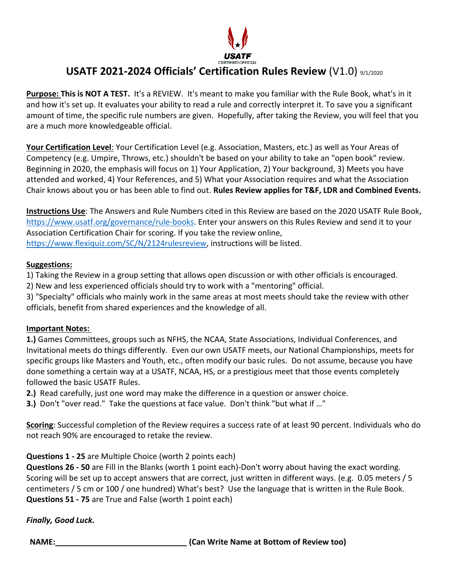

# **USATF 2021-2024 Officials' Certification Rules Review** (V1.0) 9/1/2020

**Purpose: This is NOT A TEST.** It's a REVIEW. It's meant to make you familiar with the Rule Book, what's in it and how it's set up. It evaluates your ability to read a rule and correctly interpret it. To save you a significant amount of time, the specific rule numbers are given. Hopefully, after taking the Review, you will feel that you are a much more knowledgeable official.

**Your Certification Level**: Your Certification Level (e.g. Association, Masters, etc.) as well as Your Areas of Competency (e.g. Umpire, Throws, etc.) shouldn't be based on your ability to take an "open book" review. Beginning in 2020, the emphasis will focus on 1) Your Application, 2) Your background, 3) Meets you have attended and worked, 4) Your References, and 5) What your Association requires and what the Association Chair knows about you or has been able to find out. **Rules Review applies for T&F, LDR and Combined Events.**

**Instructions Use**: The Answers and Rule Numbers cited in this Review are based on the 2020 USATF Rule Book, [https://www.usatf.org/governance/rule-books.](https://www.usatf.org/governance/rule-books) Enter your answers on this Rules Review and send it to your Association Certification Chair for scoring. If you take the review online, [https://www.flexiquiz.com/SC/N/2124rulesreview,](https://www.flexiquiz.com/SC/N/2124rulesreview) instructions will be listed.

#### **Suggestions:**

1) Taking the Review in a group setting that allows open discussion or with other officials is encouraged.

2) New and less experienced officials should try to work with a "mentoring" official.

3) "Specialty" officials who mainly work in the same areas at most meets should take the review with other officials, benefit from shared experiences and the knowledge of all.

#### **Important Notes:**

**1.)** Games Committees, groups such as NFHS, the NCAA, State Associations, Individual Conferences, and Invitational meets do things differently. Even our own USATF meets, our National Championships, meets for specific groups like Masters and Youth, etc., often modify our basic rules. Do not assume, because you have done something a certain way at a USATF, NCAA, HS, or a prestigious meet that those events completely followed the basic USATF Rules.

**2.)** Read carefully, just one word may make the difference in a question or answer choice.

**3.)** Don't "over read." Take the questions at face value. Don't think "but what if …"

**Scoring**: Successful completion of the Review requires a success rate of at least 90 percent. Individuals who do not reach 90% are encouraged to retake the review.

## **Questions 1 - 25** are Multiple Choice (worth 2 points each)

**Questions 26 - 50** are Fill in the Blanks (worth 1 point each)-Don't worry about having the exact wording. Scoring will be set up to accept answers that are correct, just written in different ways. (e.g. 0.05 meters / 5 centimeters / 5 cm or 100 / one hundred) What's best? Use the language that is written in the Rule Book. **Questions 51 - 75** are True and False (worth 1 point each)

*Finally, Good Luck.*

**NAME:\_\_\_\_\_\_\_\_\_\_\_\_\_\_\_\_\_\_\_\_\_\_\_\_\_\_\_\_\_\_ (Can Write Name at Bottom of Review too)**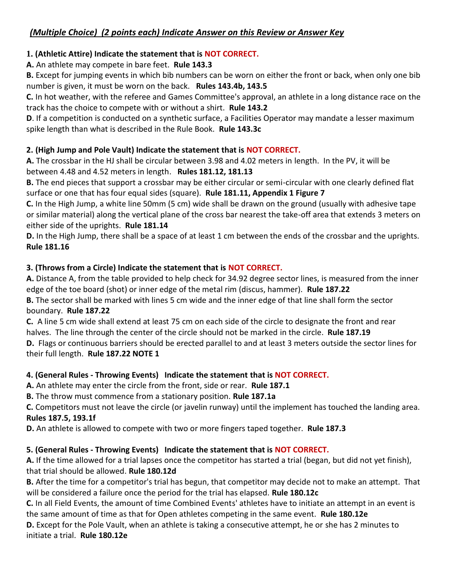## **1. (Athletic Attire) Indicate the statement that is NOT CORRECT.**

**A.** An athlete may compete in bare feet. **Rule 143.3** 

**B.** Except for jumping events in which bib numbers can be worn on either the front or back, when only one bib number is given, it must be worn on the back. **Rules 143.4b, 143.5** 

**C.** In hot weather, with the referee and Games Committee's approval, an athlete in a long distance race on the track has the choice to compete with or without a shirt. **Rule 143.2**

**D**. If a competition is conducted on a synthetic surface, a Facilities Operator may mandate a lesser maximum spike length than what is described in the Rule Book. **Rule 143.3c**

## **2. (High Jump and Pole Vault) Indicate the statement that is NOT CORRECT.**

**A.** The crossbar in the HJ shall be circular between 3.98 and 4.02 meters in length. In the PV, it will be between 4.48 and 4.52 meters in length. **Rules 181.12, 181.13**

**B.** The end pieces that support a crossbar may be either circular or semi-circular with one clearly defined flat surface or one that has four equal sides (square). **Rule 181.11, Appendix 1 Figure 7**

**C.** In the High Jump, a white line 50mm (5 cm) wide shall be drawn on the ground (usually with adhesive tape or similar material) along the vertical plane of the cross bar nearest the take-off area that extends 3 meters on either side of the uprights. **Rule 181.14**

**D.** In the High Jump, there shall be a space of at least 1 cm between the ends of the crossbar and the uprights. **Rule 181.16**

## **3. (Throws from a Circle) Indicate the statement that is NOT CORRECT.**

**A.** Distance A, from the table provided to help check for 34.92 degree sector lines, is measured from the inner edge of the toe board (shot) or inner edge of the metal rim (discus, hammer). **Rule 187.22** 

**B.** The sector shall be marked with lines 5 cm wide and the inner edge of that line shall form the sector boundary. **Rule 187.22** 

**C.** A line 5 cm wide shall extend at least 75 cm on each side of the circle to designate the front and rear halves. The line through the center of the circle should not be marked in the circle. **Rule 187.19** 

**D.** Flags or continuous barriers should be erected parallel to and at least 3 meters outside the sector lines for their full length. **Rule 187.22 NOTE 1**

## **4. (General Rules - Throwing Events) Indicate the statement that is NOT CORRECT.**

**A.** An athlete may enter the circle from the front, side or rear. **Rule 187.1** 

**B.** The throw must commence from a stationary position. **Rule 187.1a** 

**C.** Competitors must not leave the circle (or javelin runway) until the implement has touched the landing area. **Rules 187.5, 193.1f** 

**D.** An athlete is allowed to compete with two or more fingers taped together. **Rule 187.3**

## **5. (General Rules - Throwing Events) Indicate the statement that is NOT CORRECT.**

**A.** If the time allowed for a trial lapses once the competitor has started a trial (began, but did not yet finish), that trial should be allowed. **Rule 180.12d**

**B.** After the time for a competitor's trial has begun, that competitor may decide not to make an attempt. That will be considered a failure once the period for the trial has elapsed. **Rule 180.12c**

**C.** In all Field Events, the amount of time Combined Events' athletes have to initiate an attempt in an event is the same amount of time as that for Open athletes competing in the same event. **Rule 180.12e** 

**D.** Except for the Pole Vault, when an athlete is taking a consecutive attempt, he or she has 2 minutes to initiate a trial. **Rule 180.12e**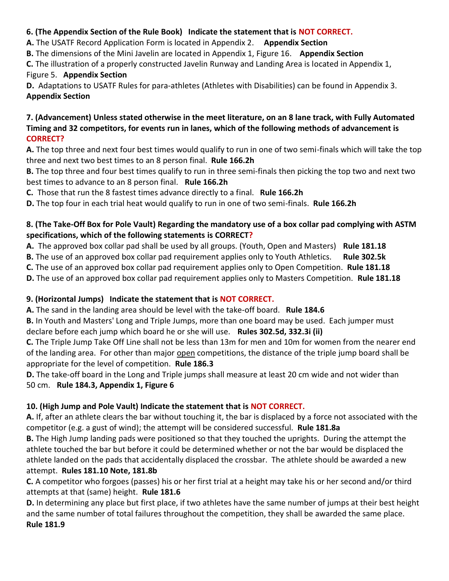## **6. (The Appendix Section of the Rule Book) Indicate the statement that is NOT CORRECT.**

**A.** The USATF Record Application Form is located in Appendix 2. **Appendix Section**

**B.** The dimensions of the Mini Javelin are located in Appendix 1, Figure 16. **Appendix Section**

**C.** The illustration of a properly constructed Javelin Runway and Landing Area is located in Appendix 1, Figure 5. **Appendix Section**

**D.** Adaptations to USATF Rules for para-athletes (Athletes with Disabilities) can be found in Appendix 3. **Appendix Section**

#### **7. (Advancement) Unless stated otherwise in the meet literature, on an 8 lane track, with Fully Automated Timing and 32 competitors, for events run in lanes, which of the following methods of advancement is CORRECT?**

**A.** The top three and next four best times would qualify to run in one of two semi-finals which will take the top three and next two best times to an 8 person final. **Rule 166.2h**

**B.** The top three and four best times qualify to run in three semi-finals then picking the top two and next two best times to advance to an 8 person final. **Rule 166.2h**

**C.** Those that run the 8 fastest times advance directly to a final. **Rule 166.2h**

**D.** The top four in each trial heat would qualify to run in one of two semi-finals. **Rule 166.2h**

## **8. (The Take-Off Box for Pole Vault) Regarding the mandatory use of a box collar pad complying with ASTM specifications, which of the following statements is CORRECT?**

**A.** The approved box collar pad shall be used by all groups. (Youth, Open and Masters) **Rule 181.18**

**B.** The use of an approved box collar pad requirement applies only to Youth Athletics. **Rule 302.5k**

**C.** The use of an approved box collar pad requirement applies only to Open Competition. **Rule 181.18**

**D.** The use of an approved box collar pad requirement applies only to Masters Competition. **Rule 181.18**

## **9. (Horizontal Jumps) Indicate the statement that is NOT CORRECT.**

**A.** The sand in the landing area should be level with the take-off board. **Rule 184.6**

**B.** In Youth and Masters' Long and Triple Jumps, more than one board may be used. Each jumper must declare before each jump which board he or she will use. **Rules 302.5d, 332.3i (ii)**

**C.** The Triple Jump Take Off Line shall not be less than 13m for men and 10m for women from the nearer end of the landing area. For other than major open competitions, the distance of the triple jump board shall be appropriate for the level of competition. **Rule 186.3**

**D.** The take-off board in the Long and Triple jumps shall measure at least 20 cm wide and not wider than 50 cm. **Rule 184.3, Appendix 1, Figure 6**

## **10. (High Jump and Pole Vault) Indicate the statement that is NOT CORRECT.**

**A.** If, after an athlete clears the bar without touching it, the bar is displaced by a force not associated with the competitor (e.g. a gust of wind); the attempt will be considered successful. **Rule 181.8a**

**B.** The High Jump landing pads were positioned so that they touched the uprights. During the attempt the athlete touched the bar but before it could be determined whether or not the bar would be displaced the athlete landed on the pads that accidentally displaced the crossbar. The athlete should be awarded a new attempt. **Rules 181.10 Note, 181.8b**

**C.** A competitor who forgoes (passes) his or her first trial at a height may take his or her second and/or third attempts at that (same) height. **Rule 181.6**

**D.** In determining any place but first place, if two athletes have the same number of jumps at their best height and the same number of total failures throughout the competition, they shall be awarded the same place. **Rule 181.9**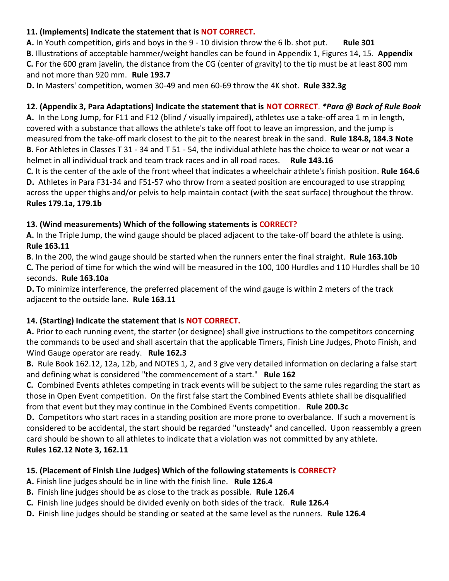## **11. (Implements) Indicate the statement that is NOT CORRECT.**

**A.** In Youth competition, girls and boys in the 9 - 10 division throw the 6 lb. shot put. **Rule 301 B.** Illustrations of acceptable hammer/weight handles can be found in Appendix 1, Figures 14, 15. **Appendix C.** For the 600 gram javelin, the distance from the CG (center of gravity) to the tip must be at least 800 mm and not more than 920 mm. **Rule 193.7**

**D.** In Masters' competition, women 30-49 and men 60-69 throw the 4K shot. **Rule 332.3g**

## **12. (Appendix 3, Para Adaptations) Indicate the statement that is NOT CORRECT**. *\*Para @ Back of Rule Book*

**A.** In the Long Jump, for F11 and F12 (blind / visually impaired), athletes use a take-off area 1 m in length, covered with a substance that allows the athlete's take off foot to leave an impression, and the jump is measured from the take-off mark closest to the pit to the nearest break in the sand. **Rule 184.8, 184.3 Note B.** For Athletes in Classes T 31 - 34 and T 51 - 54, the individual athlete has the choice to wear or not wear a helmet in all individual track and team track races and in all road races. **Rule 143.16**

**C.** It is the center of the axle of the front wheel that indicates a wheelchair athlete's finish position. **Rule 164.6 D.** Athletes in Para F31-34 and F51-57 who throw from a seated position are encouraged to use strapping across the upper thighs and/or pelvis to help maintain contact (with the seat surface) throughout the throw. **Rules 179.1a, 179.1b**

## **13. (Wind measurements) Which of the following statements is CORRECT?**

**A.** In the Triple Jump, the wind gauge should be placed adjacent to the take-off board the athlete is using. **Rule 163.11**

**B**. In the 200, the wind gauge should be started when the runners enter the final straight. **Rule 163.10b C.** The period of time for which the wind will be measured in the 100, 100 Hurdles and 110 Hurdles shall be 10 seconds. **Rule 163.10a**

**D.** To minimize interference, the preferred placement of the wind gauge is within 2 meters of the track adjacent to the outside lane. **Rule 163.11**

## **14. (Starting) Indicate the statement that is NOT CORRECT.**

**A.** Prior to each running event, the starter (or designee) shall give instructions to the competitors concerning the commands to be used and shall ascertain that the applicable Timers, Finish Line Judges, Photo Finish, and Wind Gauge operator are ready. **Rule 162.3**

**B.** Rule Book 162.12, 12a, 12b, and NOTES 1, 2, and 3 give very detailed information on declaring a false start and defining what is considered "the commencement of a start." **Rule 162**

**C.** Combined Events athletes competing in track events will be subject to the same rules regarding the start as those in Open Event competition. On the first false start the Combined Events athlete shall be disqualified from that event but they may continue in the Combined Events competition. **Rule 200.3c**

**D.** Competitors who start races in a standing position are more prone to overbalance. If such a movement is considered to be accidental, the start should be regarded "unsteady" and cancelled. Upon reassembly a green card should be shown to all athletes to indicate that a violation was not committed by any athlete. **Rules 162.12 Note 3, 162.11**

## **15. (Placement of Finish Line Judges) Which of the following statements is CORRECT?**

- **A.** Finish line judges should be in line with the finish line. **Rule 126.4**
- **B.** Finish line judges should be as close to the track as possible. **Rule 126.4**
- **C.** Finish line judges should be divided evenly on both sides of the track. **Rule 126.4**
- **D.** Finish line judges should be standing or seated at the same level as the runners. **Rule 126.4**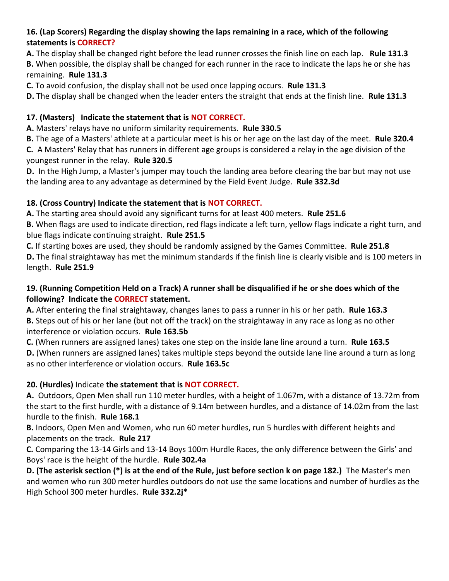## **16. (Lap Scorers) Regarding the display showing the laps remaining in a race, which of the following statements is CORRECT?**

**A.** The display shall be changed right before the lead runner crosses the finish line on each lap. **Rule 131.3 B.** When possible, the display shall be changed for each runner in the race to indicate the laps he or she has remaining. **Rule 131.3**

**C.** To avoid confusion, the display shall not be used once lapping occurs. **Rule 131.3**

**D.** The display shall be changed when the leader enters the straight that ends at the finish line. **Rule 131.3**

## **17. (Masters) Indicate the statement that is NOT CORRECT.**

**A.** Masters' relays have no uniform similarity requirements. **Rule 330.5**

**B.** The age of a Masters' athlete at a particular meet is his or her age on the last day of the meet. **Rule 320.4 C.** A Masters' Relay that has runners in different age groups is considered a relay in the age division of the youngest runner in the relay. **Rule 320.5**

**D.** In the High Jump, a Master's jumper may touch the landing area before clearing the bar but may not use the landing area to any advantage as determined by the Field Event Judge. **Rule 332.3d**

## **18. (Cross Country) Indicate the statement that is NOT CORRECT.**

**A.** The starting area should avoid any significant turns for at least 400 meters. **Rule 251.6**

**B.** When flags are used to indicate direction, red flags indicate a left turn, yellow flags indicate a right turn, and blue flags indicate continuing straight. **Rule 251.5**

**C.** If starting boxes are used, they should be randomly assigned by the Games Committee. **Rule 251.8 D.** The final straightaway has met the minimum standards if the finish line is clearly visible and is 100 meters in length. **Rule 251.9**

## **19. (Running Competition Held on a Track) A runner shall be disqualified if he or she does which of the following? Indicate the CORRECT statement.**

**A.** After entering the final straightaway, changes lanes to pass a runner in his or her path. **Rule 163.3 B.** Steps out of his or her lane (but not off the track) on the straightaway in any race as long as no other interference or violation occurs. **Rule 163.5b**

**C.** (When runners are assigned lanes) takes one step on the inside lane line around a turn. **Rule 163.5 D.** (When runners are assigned lanes) takes multiple steps beyond the outside lane line around a turn as long as no other interference or violation occurs. **Rule 163.5c**

## **20. (Hurdles)** Indicate **the statement that is NOT CORRECT.**

**A.** Outdoors, Open Men shall run 110 meter hurdles, with a height of 1.067m, with a distance of 13.72m from the start to the first hurdle, with a distance of 9.14m between hurdles, and a distance of 14.02m from the last hurdle to the finish. **Rule 168.1**

**B.** Indoors, Open Men and Women, who run 60 meter hurdles, run 5 hurdles with different heights and placements on the track. **Rule 217**

**C.** Comparing the 13-14 Girls and 13-14 Boys 100m Hurdle Races, the only difference between the Girls' and Boys' race is the height of the hurdle. **Rule 302.4a**

**D. (The asterisk section (\*) is at the end of the Rule, just before section k on page 182.)** The Master's men and women who run 300 meter hurdles outdoors do not use the same locations and number of hurdles as the High School 300 meter hurdles. **Rule 332.2j\***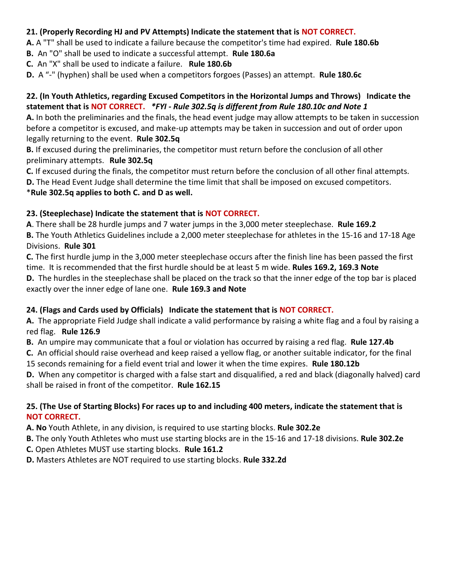#### **21. (Properly Recording HJ and PV Attempts) Indicate the statement that is NOT CORRECT.**

**A.** A "T" shall be used to indicate a failure because the competitor's time had expired. **Rule 180.6b**

**B.** An "O" shall be used to indicate a successful attempt. **Rule 180.6a**

**C.** An "X" shall be used to indicate a failure. **Rule 180.6b**

**D.** A "-" (hyphen) shall be used when a competitors forgoes (Passes) an attempt. **Rule 180.6c**

#### **22. (In Youth Athletics, regarding Excused Competitors in the Horizontal Jumps and Throws) Indicate the statement that is NOT CORRECT.** *\*FYI - Rule 302.5q is different from Rule 180.10c and Note 1*

**A.** In both the preliminaries and the finals, the head event judge may allow attempts to be taken in succession before a competitor is excused, and make-up attempts may be taken in succession and out of order upon legally returning to the event. **Rule 302.5q**

**B.** If excused during the preliminaries, the competitor must return before the conclusion of all other preliminary attempts. **Rule 302.5q**

**C.** If excused during the finals, the competitor must return before the conclusion of all other final attempts. **D.** The Head Event Judge shall determine the time limit that shall be imposed on excused competitors.

#### \***Rule 302.5q applies to both C. and D as well.**

#### **23. (Steeplechase) Indicate the statement that is NOT CORRECT.**

**A**. There shall be 28 hurdle jumps and 7 water jumps in the 3,000 meter steeplechase. **Rule 169.2 B.** The Youth Athletics Guidelines include a 2,000 meter steeplechase for athletes in the 15-16 and 17-18 Age Divisions. **Rule 301**

**C.** The first hurdle jump in the 3,000 meter steeplechase occurs after the finish line has been passed the first time. It is recommended that the first hurdle should be at least 5 m wide. **Rules 169.2, 169.3 Note D.** The hurdles in the steeplechase shall be placed on the track so that the inner edge of the top bar is placed exactly over the inner edge of lane one. **Rule 169.3 and Note**

#### **24. (Flags and Cards used by Officials) Indicate the statement that is NOT CORRECT.**

**A.** The appropriate Field Judge shall indicate a valid performance by raising a white flag and a foul by raising a red flag. **Rule 126.9**

**B.** An umpire may communicate that a foul or violation has occurred by raising a red flag. **Rule 127.4b**

**C.** An official should raise overhead and keep raised a yellow flag, or another suitable indicator, for the final 15 seconds remaining for a field event trial and lower it when the time expires. **Rule 180.12b**

**D.** When any competitor is charged with a false start and disqualified, a red and black (diagonally halved) card shall be raised in front of the competitor. **Rule 162.15**

#### **25. (The Use of Starting Blocks) For races up to and including 400 meters, indicate the statement that is NOT CORRECT.**

**A. No** Youth Athlete, in any division, is required to use starting blocks. **Rule 302.2e**

**B.** The only Youth Athletes who must use starting blocks are in the 15-16 and 17-18 divisions. **Rule 302.2e**

**C.** Open Athletes MUST use starting blocks. **Rule 161.2**

**D.** Masters Athletes are NOT required to use starting blocks. **Rule 332.2d**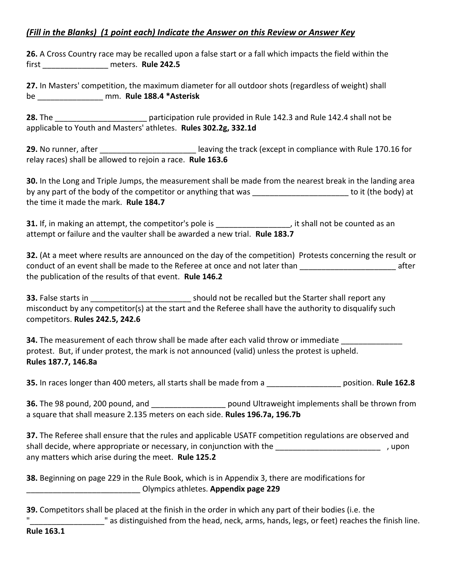## *(Fill in the Blanks) (1 point each) Indicate the Answer on this Review or Answer Key*

**26.** A Cross Country race may be recalled upon a false start or a fall which impacts the field within the first \_\_\_\_\_\_\_\_\_\_\_\_\_\_\_ meters. **Rule 242.5**

**27.** In Masters' competition, the maximum diameter for all outdoor shots (regardless of weight) shall be \_\_\_\_\_\_\_\_\_\_\_\_\_\_\_ mm. **Rule 188.4 \*Asterisk**

**28.** The \_\_\_\_\_\_\_\_\_\_\_\_\_\_\_\_\_\_\_\_\_ participation rule provided in Rule 142.3 and Rule 142.4 shall not be applicable to Youth and Masters' athletes. **Rules 302.2g, 332.1d**

**29.** No runner, after **the contract of the set of the track** (except in compliance with Rule 170.16 for relay races) shall be allowed to rejoin a race. **Rule 163.6**

**30.** In the Long and Triple Jumps, the measurement shall be made from the nearest break in the landing area by any part of the body of the competitor or anything that was \_\_\_\_\_\_\_\_\_\_\_\_\_\_\_\_\_\_\_\_\_\_\_\_\_\_\_\_ to it (the body) at the time it made the mark. **Rule 184.7**

**31.** If, in making an attempt, the competitor's pole is  $\qquad \qquad$ , it shall not be counted as an attempt or failure and the vaulter shall be awarded a new trial. **Rule 183.7**

**32.** (At a meet where results are announced on the day of the competition) Protests concerning the result or conduct of an event shall be made to the Referee at once and not later than **with an actual conduct** of an event shall be made to the Referee at once and not later than the publication of the results of that event. **Rule 146.2**

**33.** False starts in **19. In the Start of the Starter shall report any** should not be recalled but the Starter shall report any misconduct by any competitor(s) at the start and the Referee shall have the authority to disqualify such competitors. **Rules 242.5, 242.6**

**34.** The measurement of each throw shall be made after each valid throw or immediate protest. But, if under protest, the mark is not announced (valid) unless the protest is upheld. **Rules 187.7, 146.8a**

**35.** In races longer than 400 meters, all starts shall be made from a \_\_\_\_\_\_\_\_\_\_\_\_\_\_\_\_\_ position. **Rule 162.8**

**36.** The 98 pound, 200 pound, and **Example 2018** pound Ultraweight implements shall be thrown from a square that shall measure 2.135 meters on each side. **Rules 196.7a, 196.7b**

**37.** The Referee shall ensure that the rules and applicable USATF competition regulations are observed and shall decide, where appropriate or necessary, in conjunction with the  $\hspace{2cm}$ , upon any matters which arise during the meet. **Rule 125.2**

**38.** Beginning on page 229 in the Rule Book, which is in Appendix 3, there are modifications for \_\_\_\_\_\_\_\_\_\_\_\_\_\_\_\_\_\_\_\_\_\_\_\_\_\_ Olympics athletes. **Appendix page 229**

| 39. Competitors shall be placed at the finish in the order in which any part of their bodies (i.e. the |
|--------------------------------------------------------------------------------------------------------|
| " as distinguished from the head, neck, arms, hands, legs, or feet) reaches the finish line.           |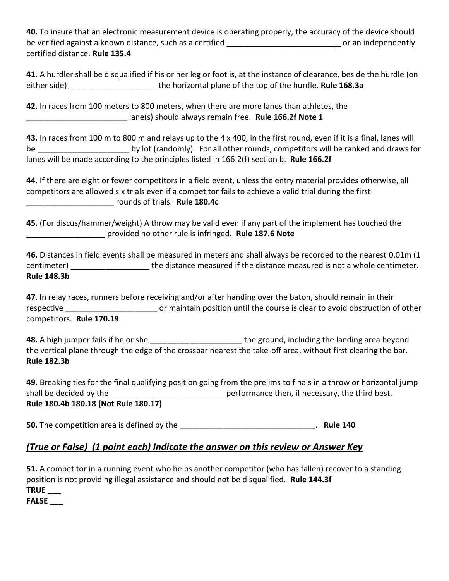**40.** To insure that an electronic measurement device is operating properly, the accuracy of the device should be verified against a known distance, such as a certified \_\_\_\_\_\_\_\_\_\_\_\_\_\_\_\_\_\_\_\_\_\_\_\_\_\_\_\_\_\_\_\_\_\_ or an independently certified distance. **Rule 135.4**

|              | 41. A hurdler shall be disqualified if his or her leg or foot is, at the instance of clearance, beside the hurdle (on |
|--------------|-----------------------------------------------------------------------------------------------------------------------|
| either side) | the horizontal plane of the top of the hurdle. Rule 168.3a                                                            |

**42.** In races from 100 meters to 800 meters, when there are more lanes than athletes, the \_\_\_\_\_\_\_\_\_\_\_\_\_\_\_\_\_\_\_\_\_\_\_ lane(s) should always remain free. **Rule 166.2f Note 1**

**43.** In races from 100 m to 800 m and relays up to the 4 x 400, in the first round, even if it is a final, lanes will be \_\_\_\_\_\_\_\_\_\_\_\_\_\_\_\_\_\_\_\_\_ by lot (randomly). For all other rounds, competitors will be ranked and draws for lanes will be made according to the principles listed in 166.2(f) section b. **Rule 166.2f**

**44.** If there are eight or fewer competitors in a field event, unless the entry material provides otherwise, all competitors are allowed six trials even if a competitor fails to achieve a valid trial during the first \_\_\_\_\_\_\_\_\_\_\_\_\_\_\_\_\_\_\_\_ rounds of trials. **Rule 180.4c**

**45.** (For discus/hammer/weight) A throw may be valid even if any part of the implement has touched the \_\_\_\_\_\_\_\_\_\_\_\_\_\_\_\_\_\_ provided no other rule is infringed. **Rule 187.6 Note**

**46.** Distances in field events shall be measured in meters and shall always be recorded to the nearest 0.01m (1 centimeter) **Exercise 2** the distance measured if the distance measured is not a whole centimeter. **Rule 148.3b**

**47**. In relay races, runners before receiving and/or after handing over the baton, should remain in their respective **Exercise 20** or maintain position until the course is clear to avoid obstruction of other competitors. **Rule 170.19**

**48.** A high jumper fails if he or she \_\_\_\_\_\_\_\_\_\_\_\_\_\_\_\_\_\_\_\_\_ the ground, including the landing area beyond the vertical plane through the edge of the crossbar nearest the take-off area, without first clearing the bar. **Rule 182.3b**

**49.** Breaking ties for the final qualifying position going from the prelims to finals in a throw or horizontal jump shall be decided by the \_\_\_\_\_\_\_\_\_\_\_\_\_\_\_\_\_\_\_\_\_\_\_\_\_\_\_\_\_\_\_\_\_ performance then, if necessary, the third best. **Rule 180.4b 180.18 (Not Rule 180.17)**

**50.** The competition area is defined by the **EXACTE 140 Rule 140 Rule 140** 

## *(True or False) (1 point each) Indicate the answer on this review or Answer Key*

**51.** A competitor in a running event who helps another competitor (who has fallen) recover to a standing position is not providing illegal assistance and should not be disqualified. **Rule 144.3f TRUE \_\_\_**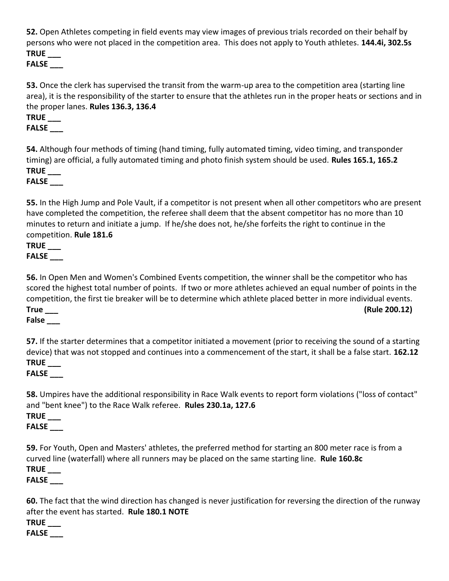**52.** Open Athletes competing in field events may view images of previous trials recorded on their behalf by persons who were not placed in the competition area. This does not apply to Youth athletes. **144.4i, 302.5s TRUE \_\_\_** 

**FALSE \_\_\_**

**53.** Once the clerk has supervised the transit from the warm-up area to the competition area (starting line area), it is the responsibility of the starter to ensure that the athletes run in the proper heats or sections and in the proper lanes. **Rules 136.3, 136.4** 

**TRUE \_\_\_** 

**FALSE \_\_\_**

**54.** Although four methods of timing (hand timing, fully automated timing, video timing, and transponder timing) are official, a fully automated timing and photo finish system should be used. **Rules 165.1, 165.2 TRUE \_\_\_** 

**FALSE \_\_\_**

**55.** In the High Jump and Pole Vault, if a competitor is not present when all other competitors who are present have completed the competition, the referee shall deem that the absent competitor has no more than 10 minutes to return and initiate a jump. If he/she does not, he/she forfeits the right to continue in the competition. **Rule 181.6** 

**TRUE \_\_\_ FALSE \_\_\_**

**56.** In Open Men and Women's Combined Events competition, the winner shall be the competitor who has scored the highest total number of points. If two or more athletes achieved an equal number of points in the competition, the first tie breaker will be to determine which athlete placed better in more individual events. **True \_\_\_ (Rule 200.12)** 

## **False \_\_\_**

**57.** If the starter determines that a competitor initiated a movement (prior to receiving the sound of a starting device) that was not stopped and continues into a commencement of the start, it shall be a false start. **162.12 TRUE \_\_\_** 

## **FALSE \_\_\_**

**58.** Umpires have the additional responsibility in Race Walk events to report form violations ("loss of contact" and "bent knee") to the Race Walk referee. **Rules 230.1a, 127.6** 

**TRUE \_\_\_** 

**FALSE \_\_\_**

**59.** For Youth, Open and Masters' athletes, the preferred method for starting an 800 meter race is from a curved line (waterfall) where all runners may be placed on the same starting line. **Rule 160.8c TRUE \_\_\_** 

**FALSE \_\_\_**

**60.** The fact that the wind direction has changed is never justification for reversing the direction of the runway after the event has started. **Rule 180.1 NOTE** 

**TRUE \_\_\_**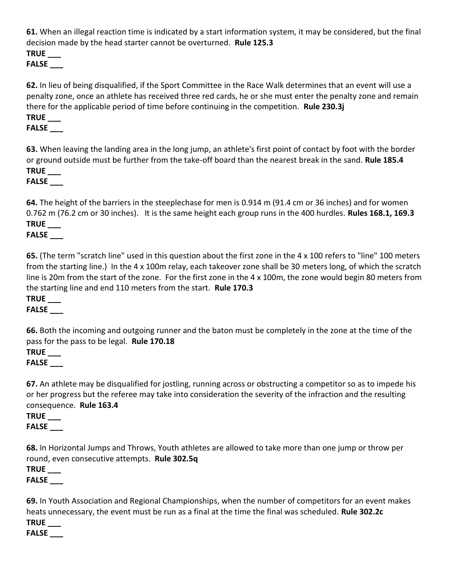**61.** When an illegal reaction time is indicated by a start information system, it may be considered, but the final decision made by the head starter cannot be overturned. **Rule 125.3** 

**TRUE \_\_\_** 

**FALSE \_\_\_**

**62.** In lieu of being disqualified, if the Sport Committee in the Race Walk determines that an event will use a penalty zone, once an athlete has received three red cards, he or she must enter the penalty zone and remain there for the applicable period of time before continuing in the competition. **Rule 230.3j TRUE \_\_\_** 

**FALSE \_\_\_**

**63.** When leaving the landing area in the long jump, an athlete's first point of contact by foot with the border or ground outside must be further from the take-off board than the nearest break in the sand. **Rule 185.4 TRUE \_\_\_** 

**FALSE \_\_\_**

**64.** The height of the barriers in the steeplechase for men is 0.914 m (91.4 cm or 36 inches) and for women 0.762 m (76.2 cm or 30 inches). It is the same height each group runs in the 400 hurdles. **Rules 168.1, 169.3 TRUE \_\_\_** 

**FALSE \_\_\_**

**65.** (The term "scratch line" used in this question about the first zone in the 4 x 100 refers to "line" 100 meters from the starting line.) In the 4 x 100m relay, each takeover zone shall be 30 meters long, of which the scratch line is 20m from the start of the zone. For the first zone in the 4 x 100m, the zone would begin 80 meters from the starting line and end 110 meters from the start. **Rule 170.3 TRUE \_\_\_** 

## **FALSE \_\_\_**

**66.** Both the incoming and outgoing runner and the baton must be completely in the zone at the time of the pass for the pass to be legal. **Rule 170.18** 

**TRUE \_\_\_ FALSE \_\_\_**

**67.** An athlete may be disqualified for jostling, running across or obstructing a competitor so as to impede his or her progress but the referee may take into consideration the severity of the infraction and the resulting consequence. **Rule 163.4 TRUE \_\_\_** 

**FALSE \_\_\_**

**68.** In Horizontal Jumps and Throws, Youth athletes are allowed to take more than one jump or throw per round, even consecutive attempts. **Rule 302.5q** 

**TRUE \_\_\_** 

**FALSE \_\_\_**

**69.** In Youth Association and Regional Championships, when the number of competitors for an event makes heats unnecessary, the event must be run as a final at the time the final was scheduled. **Rule 302.2c** 

**TRUE \_\_\_**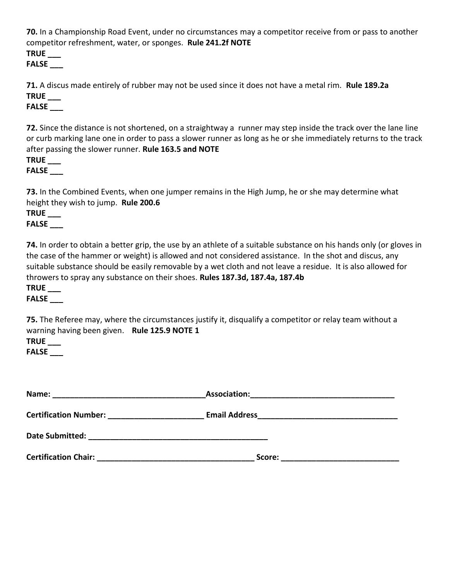**70.** In a Championship Road Event, under no circumstances may a competitor receive from or pass to another competitor refreshment, water, or sponges. **Rule 241.2f NOTE** 

**TRUE \_\_\_** 

**FALSE \_\_\_**

**71.** A discus made entirely of rubber may not be used since it does not have a metal rim. **Rule 189.2a TRUE \_\_\_** 

**FALSE \_\_\_**

**72.** Since the distance is not shortened, on a straightway a runner may step inside the track over the lane line or curb marking lane one in order to pass a slower runner as long as he or she immediately returns to the track after passing the slower runner. **Rule 163.5 and NOTE** 

**TRUE \_\_\_** 

**FALSE \_\_\_**

**73.** In the Combined Events, when one jumper remains in the High Jump, he or she may determine what height they wish to jump. **Rule 200.6** 

# **TRUE \_\_\_**

## **FALSE \_\_\_**

**74.** In order to obtain a better grip, the use by an athlete of a suitable substance on his hands only (or gloves in the case of the hammer or weight) is allowed and not considered assistance. In the shot and discus, any suitable substance should be easily removable by a wet cloth and not leave a residue. It is also allowed for throwers to spray any substance on their shoes. **Rules 187.3d, 187.4a, 187.4b** 

#### **TRUE \_\_\_**

#### **FALSE \_\_\_**

**75.** The Referee may, where the circumstances justify it, disqualify a competitor or relay team without a warning having been given. **Rule 125.9 NOTE 1 TRUE \_\_\_** 

| Name:                                                      | <b>Association:</b>                                                                                                                           |  |
|------------------------------------------------------------|-----------------------------------------------------------------------------------------------------------------------------------------------|--|
| <b>Certification Number:</b>                               | <b>Email Address</b><br><u> 1980 - Jan Barat, martin da shekara tsa mashrida na shekara tsa mashrida na shekara tsa mashrida na shekara t</u> |  |
| Date Submitted:<br><u> 1989 - Andrea Station (b. 1989)</u> |                                                                                                                                               |  |
| <b>Certification Chair:</b>                                | Score:                                                                                                                                        |  |